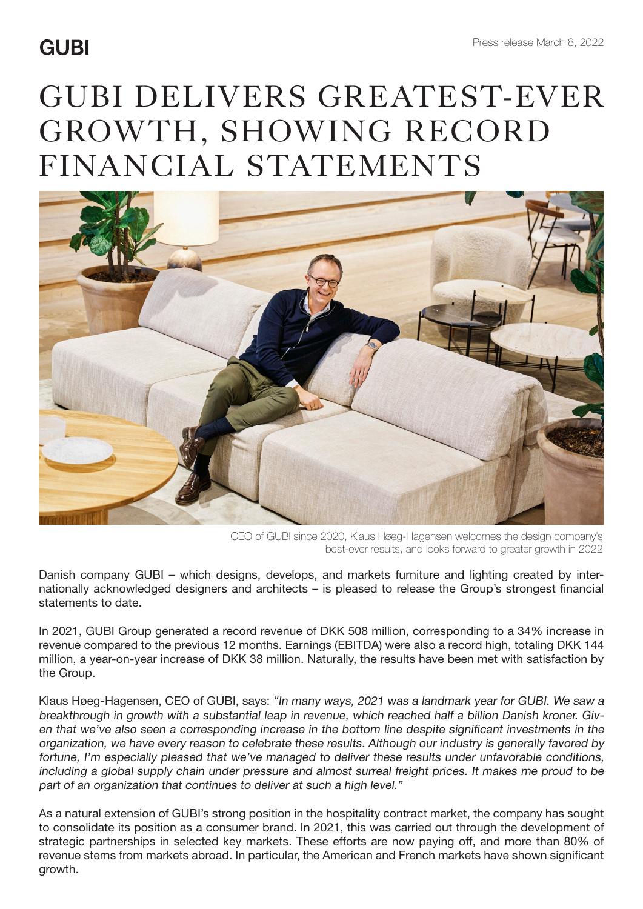## **GUBI**

## GUBI DELIVERS GREATEST-EVER GROWTH, SHOWING RECORD FINANCIAL STATEMENTS



CEO of GUBI since 2020, Klaus Høeg-Hagensen welcomes the design company's best-ever results, and looks forward to greater growth in 2022

Danish company GUBI – which designs, develops, and markets furniture and lighting created by internationally acknowledged designers and architects – is pleased to release the Group's strongest financial statements to date.

In 2021, GUBI Group generated a record revenue of DKK 508 million, corresponding to a 34% increase in revenue compared to the previous 12 months. Earnings (EBITDA) were also a record high, totaling DKK 144 million, a year-on-year increase of DKK 38 million. Naturally, the results have been met with satisfaction by the Group.

Klaus Høeg-Hagensen, CEO of GUBI, says: "In many ways, 2021 was a landmark year for GUBI. We saw a breakthrough in growth with a substantial leap in revenue, which reached half a billion Danish kroner. Given that we've also seen a corresponding increase in the bottom line despite significant investments in the organization, we have every reason to celebrate these results. Although our industry is generally favored by fortune, I'm especially pleased that we've managed to deliver these results under unfavorable conditions, including a global supply chain under pressure and almost surreal freight prices. It makes me proud to be part of an organization that continues to deliver at such a high level."

As a natural extension of GUBI's strong position in the hospitality contract market, the company has sought to consolidate its position as a consumer brand. In 2021, this was carried out through the development of strategic partnerships in selected key markets. These efforts are now paying off, and more than 80% of revenue stems from markets abroad. In particular, the American and French markets have shown significant growth.